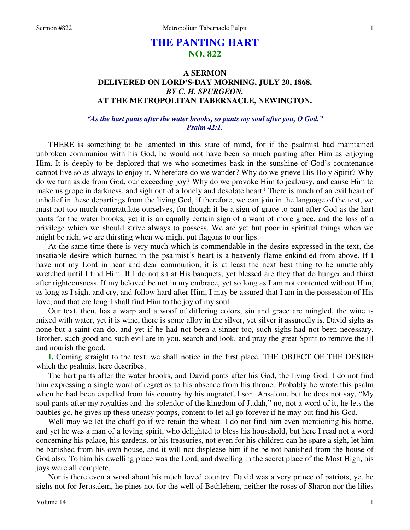# **THE PANTING HART NO. 822**

# **A SERMON DELIVERED ON LORD'S-DAY MORNING, JULY 20, 1868,**  *BY C. H. SPURGEON,*  **AT THE METROPOLITAN TABERNACLE, NEWINGTON.**

## *"As the hart pants after the water brooks, so pants my soul after you, O God." Psalm 42:1.*

THERE is something to be lamented in this state of mind, for if the psalmist had maintained unbroken communion with his God, he would not have been so much panting after Him as enjoying Him. It is deeply to be deplored that we who sometimes bask in the sunshine of God's countenance cannot live so as always to enjoy it. Wherefore do we wander? Why do we grieve His Holy Spirit? Why do we turn aside from God, our exceeding joy? Why do we provoke Him to jealousy, and cause Him to make us grope in darkness, and sigh out of a lonely and desolate heart? There is much of an evil heart of unbelief in these departings from the living God, if therefore, we can join in the language of the text, we must not too much congratulate ourselves, for though it be a sign of grace to pant after God as the hart pants for the water brooks, yet it is an equally certain sign of a want of more grace, and the loss of a privilege which we should strive always to possess. We are yet but poor in spiritual things when we might be rich, we are thirsting when we might put flagons to our lips.

 At the same time there is very much which is commendable in the desire expressed in the text, the insatiable desire which burned in the psalmist's heart is a heavenly flame enkindled from above. If I have not my Lord in near and dear communion, it is at least the next best thing to be unutterably wretched until I find Him. If I do not sit at His banquets, yet blessed are they that do hunger and thirst after righteousness. If my beloved be not in my embrace, yet so long as I am not contented without Him, as long as I sigh, and cry, and follow hard after Him, I may be assured that I am in the possession of His love, and that ere long I shall find Him to the joy of my soul.

 Our text, then, has a warp and a woof of differing colors, sin and grace are mingled, the wine is mixed with water, yet it is wine, there is some alloy in the silver, yet silver it assuredly is. David sighs as none but a saint can do, and yet if he had not been a sinner too, such sighs had not been necessary. Brother, such good and such evil are in you, search and look, and pray the great Spirit to remove the ill and nourish the good.

**I.** Coming straight to the text, we shall notice in the first place, THE OBJECT OF THE DESIRE which the psalmist here describes.

 The hart pants after the water brooks, and David pants after his God, the living God. I do not find him expressing a single word of regret as to his absence from his throne. Probably he wrote this psalm when he had been expelled from his country by his ungrateful son, Absalom, but he does not say, "My soul pants after my royalties and the splendor of the kingdom of Judah," no, not a word of it, he lets the baubles go, he gives up these uneasy pomps, content to let all go forever if he may but find his God.

 Well may we let the chaff go if we retain the wheat. I do not find him even mentioning his home, and yet he was a man of a loving spirit, who delighted to bless his household, but here I read not a word concerning his palace, his gardens, or his treasuries, not even for his children can he spare a sigh, let him be banished from his own house, and it will not displease him if he be not banished from the house of God also. To him his dwelling place was the Lord, and dwelling in the secret place of the Most High, his joys were all complete.

 Nor is there even a word about his much loved country. David was a very prince of patriots, yet he sighs not for Jerusalem, he pines not for the well of Bethlehem, neither the roses of Sharon nor the lilies

1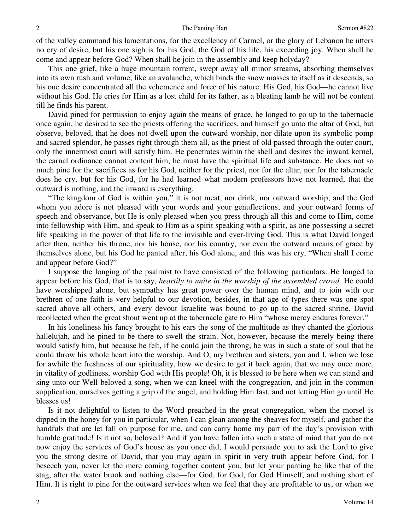of the valley command his lamentations, for the excellency of Carmel, or the glory of Lebanon he utters no cry of desire, but his one sigh is for his God, the God of his life, his exceeding joy. When shall he come and appear before God? When shall he join in the assembly and keep holyday?

 This one grief, like a huge mountain torrent, swept away all minor streams, absorbing themselves into its own rush and volume, like an avalanche, which binds the snow masses to itself as it descends, so his one desire concentrated all the vehemence and force of his nature. His God, his God—he cannot live without his God. He cries for Him as a lost child for its father, as a bleating lamb he will not be content till he finds his parent.

 David pined for permission to enjoy again the means of grace, he longed to go up to the tabernacle once again, he desired to see the priests offering the sacrifices, and himself go unto the altar of God, but observe, beloved, that he does not dwell upon the outward worship, nor dilate upon its symbolic pomp and sacred splendor, he passes right through them all, as the priest of old passed through the outer court, only the innermost court will satisfy him. He penetrates within the shell and desires the inward kernel, the carnal ordinance cannot content him, he must have the spiritual life and substance. He does not so much pine for the sacrifices as for his God, neither for the priest, nor for the altar, nor for the tabernacle does he cry, but for his God, for he had learned what modern professors have not learned, that the outward is nothing, and the inward is everything.

"The kingdom of God is within you," it is not meat, nor drink, nor outward worship, and the God whom you adore is not pleased with your words and your genuflections, and your outward forms of speech and observance, but He is only pleased when you press through all this and come to Him, come into fellowship with Him, and speak to Him as a spirit speaking with a spirit, as one possessing a secret life speaking in the power of that life to the invisible and ever-living God. This is what David longed after then, neither his throne, nor his house, nor his country, nor even the outward means of grace by themselves alone, but his God he panted after, his God alone, and this was his cry, "When shall I come and appear before God?"

 I suppose the longing of the psalmist to have consisted of the following particulars. He longed to appear before his God, that is to say, *heartily to unite in the worship of the assembled crowd.* He could have worshipped alone, but sympathy has great power over the human mind, and to join with our brethren of one faith is very helpful to our devotion, besides, in that age of types there was one spot sacred above all others, and every devout Israelite was bound to go up to the sacred shrine. David recollected when the great shout went up at the tabernacle gate to Him "whose mercy endures forever."

 In his loneliness his fancy brought to his ears the song of the multitude as they chanted the glorious hallelujah, and he pined to be there to swell the strain. Not, however, because the merely being there would satisfy him, but because he felt, if he could join the throng, he was in such a state of soul that he could throw his whole heart into the worship. And O, my brethren and sisters, you and I, when we lose for awhile the freshness of our spirituality, how we desire to get it back again, that we may once more, in vitality of godliness, worship God with His people! Oh, it is blessed to be here when we can stand and sing unto our Well-beloved a song, when we can kneel with the congregation, and join in the common supplication, ourselves getting a grip of the angel, and holding Him fast, and not letting Him go until He blesses us!

 Is it not delightful to listen to the Word preached in the great congregation, when the morsel is dipped in the honey for you in particular, when I can glean among the sheaves for myself, and gather the handfuls that are let fall on purpose for me, and can carry home my part of the day's provision with humble gratitude! Is it not so, beloved? And if you have fallen into such a state of mind that you do not now enjoy the services of God's house as you once did, I would persuade you to ask the Lord to give you the strong desire of David, that you may again in spirit in very truth appear before God, for I beseech you, never let the mere coming together content you, but let your panting be like that of the stag, after the water brook and nothing else—for God, for God, for God Himself, and nothing short of Him. It is right to pine for the outward services when we feel that they are profitable to us, or when we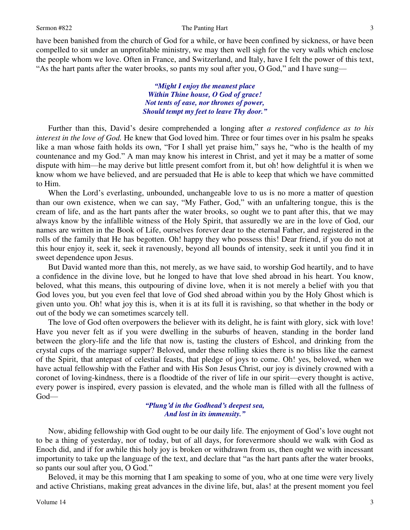have been banished from the church of God for a while, or have been confined by sickness, or have been compelled to sit under an unprofitable ministry, we may then well sigh for the very walls which enclose the people whom we love. Often in France, and Switzerland, and Italy, have I felt the power of this text, "As the hart pants after the water brooks, so pants my soul after you, O God," and I have sung—

> *"Might I enjoy the meanest place Within Thine house, O God of grace! Not tents of ease, nor thrones of power, Should tempt my feet to leave Thy door."*

 Further than this, David's desire comprehended a longing after *a restored confidence as to his interest in the love of God.* He knew that God loved him. Three or four times over in his psalm he speaks like a man whose faith holds its own, "For I shall yet praise him," says he, "who is the health of my countenance and my God." A man may know his interest in Christ, and yet it may be a matter of some dispute with him—he may derive but little present comfort from it, but oh! how delightful it is when we know whom we have believed, and are persuaded that He is able to keep that which we have committed to Him.

 When the Lord's everlasting, unbounded, unchangeable love to us is no more a matter of question than our own existence, when we can say, "My Father, God," with an unfaltering tongue, this is the cream of life, and as the hart pants after the water brooks, so ought we to pant after this, that we may always know by the infallible witness of the Holy Spirit, that assuredly we are in the love of God, our names are written in the Book of Life, ourselves forever dear to the eternal Father, and registered in the rolls of the family that He has begotten. Oh! happy they who possess this! Dear friend, if you do not at this hour enjoy it, seek it, seek it ravenously, beyond all bounds of intensity, seek it until you find it in sweet dependence upon Jesus.

 But David wanted more than this, not merely, as we have said, to worship God heartily, and to have a confidence in the divine love, but he longed to have that love shed abroad in his heart. You know, beloved, what this means, this outpouring of divine love, when it is not merely a belief with you that God loves you, but you even feel that love of God shed abroad within you by the Holy Ghost which is given unto you. Oh! what joy this is, when it is at its full it is ravishing, so that whether in the body or out of the body we can sometimes scarcely tell.

 The love of God often overpowers the believer with its delight, he is faint with glory, sick with love! Have you never felt as if you were dwelling in the suburbs of heaven, standing in the border land between the glory-life and the life that now is, tasting the clusters of Eshcol, and drinking from the crystal cups of the marriage supper? Beloved, under these rolling skies there is no bliss like the earnest of the Spirit, that antepast of celestial feasts, that pledge of joys to come. Oh! yes, beloved, when we have actual fellowship with the Father and with His Son Jesus Christ, our joy is divinely crowned with a coronet of loving-kindness, there is a floodtide of the river of life in our spirit—every thought is active, every power is inspired, every passion is elevated, and the whole man is filled with all the fullness of God—

### *"Plung'd in the Godhead's deepest sea, And lost in its immensity."*

 Now, abiding fellowship with God ought to be our daily life. The enjoyment of God's love ought not to be a thing of yesterday, nor of today, but of all days, for forevermore should we walk with God as Enoch did, and if for awhile this holy joy is broken or withdrawn from us, then ought we with incessant importunity to take up the language of the text, and declare that "as the hart pants after the water brooks, so pants our soul after you, O God."

 Beloved, it may be this morning that I am speaking to some of you, who at one time were very lively and active Christians, making great advances in the divine life, but, alas! at the present moment you feel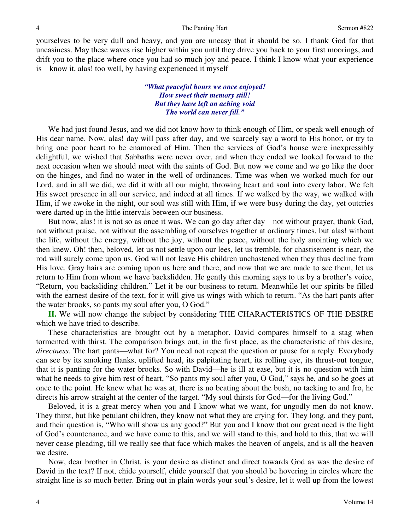yourselves to be very dull and heavy, and you are uneasy that it should be so. I thank God for that uneasiness. May these waves rise higher within you until they drive you back to your first moorings, and drift you to the place where once you had so much joy and peace. I think I know what your experience is—know it, alas! too well, by having experienced it myself—

> *"What peaceful hours we once enjoyed! How sweet their memory still! But they have left an aching void The world can never fill."*

 We had just found Jesus, and we did not know how to think enough of Him, or speak well enough of His dear name. Now, alas! day will pass after day, and we scarcely say a word to His honor, or try to bring one poor heart to be enamored of Him. Then the services of God's house were inexpressibly delightful, we wished that Sabbaths were never over, and when they ended we looked forward to the next occasion when we should meet with the saints of God. But now we come and we go like the door on the hinges, and find no water in the well of ordinances. Time was when we worked much for our Lord, and in all we did, we did it with all our might, throwing heart and soul into every labor. We felt His sweet presence in all our service, and indeed at all times. If we walked by the way, we walked with Him, if we awoke in the night, our soul was still with Him, if we were busy during the day, yet outcries were darted up in the little intervals between our business.

 But now, alas! it is not so as once it was. We can go day after day—not without prayer, thank God, not without praise, not without the assembling of ourselves together at ordinary times, but alas! without the life, without the energy, without the joy, without the peace, without the holy anointing which we then knew. Oh! then, beloved, let us not settle upon our lees, let us tremble, for chastisement is near, the rod will surely come upon us. God will not leave His children unchastened when they thus decline from His love. Gray hairs are coming upon us here and there, and now that we are made to see them, let us return to Him from whom we have backslidden. He gently this morning says to us by a brother's voice, "Return, you backsliding children." Let it be our business to return. Meanwhile let our spirits be filled with the earnest desire of the text, for it will give us wings with which to return. "As the hart pants after the water brooks, so pants my soul after you, O God."

**II.** We will now change the subject by considering THE CHARACTERISTICS OF THE DESIRE which we have tried to describe.

 These characteristics are brought out by a metaphor. David compares himself to a stag when tormented with thirst. The comparison brings out, in the first place, as the characteristic of this desire, *directness*. The hart pants—what for? You need not repeat the question or pause for a reply. Everybody can see by its smoking flanks, uplifted head, its palpitating heart, its rolling eye, its thrust-out tongue, that it is panting for the water brooks. So with David—he is ill at ease, but it is no question with him what he needs to give him rest of heart, "So pants my soul after you, O God," says he, and so he goes at once to the point. He knew what he was at, there is no beating about the bush, no tacking to and fro, he directs his arrow straight at the center of the target. "My soul thirsts for God—for the living God."

 Beloved, it is a great mercy when you and I know what we want, for ungodly men do not know. They thirst, but like petulant children, they know not what they are crying for. They long, and they pant, and their question is, "Who will show us any good?" But you and I know that our great need is the light of God's countenance, and we have come to this, and we will stand to this, and hold to this, that we will never cease pleading, till we really see that face which makes the heaven of angels, and is all the heaven we desire.

 Now, dear brother in Christ, is your desire as distinct and direct towards God as was the desire of David in the text? If not, chide yourself, chide yourself that you should be hovering in circles where the straight line is so much better. Bring out in plain words your soul's desire, let it well up from the lowest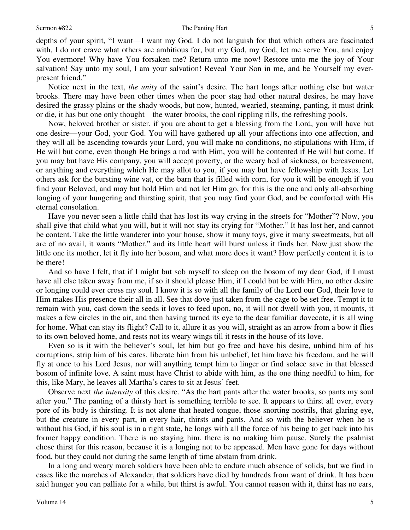### Sermon #822 The Panting Hart

depths of your spirit, "I want—I want my God. I do not languish for that which others are fascinated with, I do not crave what others are ambitious for, but my God, my God, let me serve You, and enjoy You evermore! Why have You forsaken me? Return unto me now! Restore unto me the joy of Your salvation! Say unto my soul, I am your salvation! Reveal Your Son in me, and be Yourself my everpresent friend."

 Notice next in the text, *the unity* of the saint's desire. The hart longs after nothing else but water brooks. There may have been other times when the poor stag had other natural desires, he may have desired the grassy plains or the shady woods, but now, hunted, wearied, steaming, panting, it must drink or die, it has but one only thought—the water brooks, the cool rippling rills, the refreshing pools.

 Now, beloved brother or sister, if you are about to get a blessing from the Lord, you will have but one desire—your God, your God. You will have gathered up all your affections into one affection, and they will all be ascending towards your Lord, you will make no conditions, no stipulations with Him, if He will but come, even though He brings a rod with Him, you will be contented if He will but come. If you may but have His company, you will accept poverty, or the weary bed of sickness, or bereavement, or anything and everything which He may allot to you, if you may but have fellowship with Jesus. Let others ask for the bursting wine vat, or the barn that is filled with corn, for you it will be enough if you find your Beloved, and may but hold Him and not let Him go, for this is the one and only all-absorbing longing of your hungering and thirsting spirit, that you may find your God, and be comforted with His eternal consolation.

 Have you never seen a little child that has lost its way crying in the streets for "Mother"? Now, you shall give that child what you will, but it will not stay its crying for "Mother." It has lost her, and cannot be content. Take the little wanderer into your house, show it many toys, give it many sweetmeats, but all are of no avail, it wants "Mother," and its little heart will burst unless it finds her. Now just show the little one its mother, let it fly into her bosom, and what more does it want? How perfectly content it is to be there!

 And so have I felt, that if I might but sob myself to sleep on the bosom of my dear God, if I must have all else taken away from me, if so it should please Him, if I could but be with Him, no other desire or longing could ever cross my soul. I know it is so with all the family of the Lord our God, their love to Him makes His presence their all in all. See that dove just taken from the cage to be set free. Tempt it to remain with you, cast down the seeds it loves to feed upon, no, it will not dwell with you, it mounts, it makes a few circles in the air, and then having turned its eye to the dear familiar dovecote, it is all wing for home. What can stay its flight? Call to it, allure it as you will, straight as an arrow from a bow it flies to its own beloved home, and rests not its weary wings till it rests in the house of its love.

 Even so is it with the believer's soul, let him but go free and have his desire, unbind him of his corruptions, strip him of his cares, liberate him from his unbelief, let him have his freedom, and he will fly at once to his Lord Jesus, nor will anything tempt him to linger or find solace save in that blessed bosom of infinite love. A saint must have Christ to abide with him, as the one thing needful to him, for this, like Mary, he leaves all Martha's cares to sit at Jesus' feet.

 Observe next *the intensity* of this desire. "As the hart pants after the water brooks, so pants my soul after you." The panting of a thirsty hart is something terrible to see. It appears to thirst all over, every pore of its body is thirsting. It is not alone that heated tongue, those snorting nostrils, that glaring eye, but the creature in every part, in every hair, thirsts and pants. And so with the believer when he is without his God, if his soul is in a right state, he longs with all the force of his being to get back into his former happy condition. There is no staying him, there is no making him pause. Surely the psalmist chose thirst for this reason, because it is a longing not to be appeased. Men have gone for days without food, but they could not during the same length of time abstain from drink.

In a long and weary march soldiers have been able to endure much absence of solids, but we find in cases like the marches of Alexander, that soldiers have died by hundreds from want of drink. It has been said hunger you can palliate for a while, but thirst is awful. You cannot reason with it, thirst has no ears,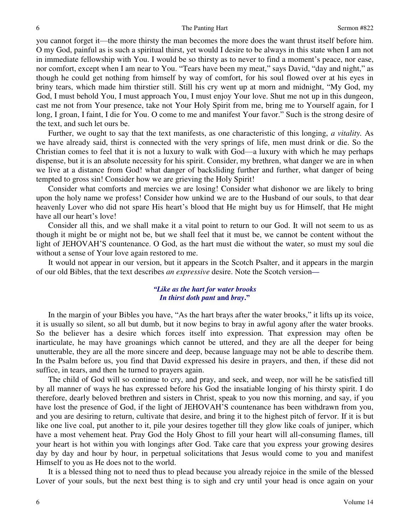you cannot forget it—the more thirsty the man becomes the more does the want thrust itself before him. O my God, painful as is such a spiritual thirst, yet would I desire to be always in this state when I am not in immediate fellowship with You. I would be so thirsty as to never to find a moment's peace, nor ease, nor comfort, except when I am near to You. "Tears have been my meat," says David, "day and night," as though he could get nothing from himself by way of comfort, for his soul flowed over at his eyes in briny tears, which made him thirstier still. Still his cry went up at morn and midnight, "My God, my God, I must behold You, I must approach You, I must enjoy Your love. Shut me not up in this dungeon, cast me not from Your presence, take not Your Holy Spirit from me, bring me to Yourself again, for I long, I groan, I faint, I die for You. O come to me and manifest Your favor." Such is the strong desire of the text, and such let ours be.

 Further, we ought to say that the text manifests, as one characteristic of this longing, *a vitality.* As we have already said, thirst is connected with the very springs of life, men must drink or die. So the Christian comes to feel that it is not a luxury to walk with God—a luxury with which he may perhaps dispense, but it is an absolute necessity for his spirit. Consider, my brethren, what danger we are in when we live at a distance from God! what danger of backsliding further and further, what danger of being tempted to gross sin! Consider how we are grieving the Holy Spirit!

 Consider what comforts and mercies we are losing! Consider what dishonor we are likely to bring upon the holy name we profess! Consider how unkind we are to the Husband of our souls, to that dear heavenly Lover who did not spare His heart's blood that He might buy us for Himself, that He might have all our heart's love!

Consider all this, and we shall make it a vital point to return to our God. It will not seem to us as though it might be or might not be, but we shall feel that it must be, we cannot be content without the light of JEHOVAH'S countenance. O God, as the hart must die without the water, so must my soul die without a sense of Your love again restored to me.

 It would not appear in our version, but it appears in the Scotch Psalter, and it appears in the margin of our old Bibles, that the text describes *an expressive* desire. Note the Scotch version*—*

### *"Like as the hart for water brooks In thirst doth pant* **and** *bray***."**

 In the margin of your Bibles you have, "As the hart brays after the water brooks," it lifts up its voice, it is usually so silent, so all but dumb, but it now begins to bray in awful agony after the water brooks. So the believer has a desire which forces itself into expression. That expression may often be inarticulate, he may have groanings which cannot be uttered, and they are all the deeper for being unutterable, they are all the more sincere and deep, because language may not be able to describe them. In the Psalm before us, you find that David expressed his desire in prayers, and then, if these did not suffice, in tears, and then he turned to prayers again.

 The child of God will so continue to cry, and pray, and seek, and weep, nor will he be satisfied till by all manner of ways he has expressed before his God the insatiable longing of his thirsty spirit. I do therefore, dearly beloved brethren and sisters in Christ, speak to you now this morning, and say, if you have lost the presence of God, if the light of JEHOVAH'S countenance has been withdrawn from you, and you are desiring to return, cultivate that desire, and bring it to the highest pitch of fervor. If it is but like one live coal, put another to it, pile your desires together till they glow like coals of juniper, which have a most vehement heat. Pray God the Holy Ghost to fill your heart will all-consuming flames, till your heart is hot within you with longings after God. Take care that you express your growing desires day by day and hour by hour, in perpetual solicitations that Jesus would come to you and manifest Himself to you as He does not to the world.

 It is a blessed thing not to need thus to plead because you already rejoice in the smile of the blessed Lover of your souls, but the next best thing is to sigh and cry until your head is once again on your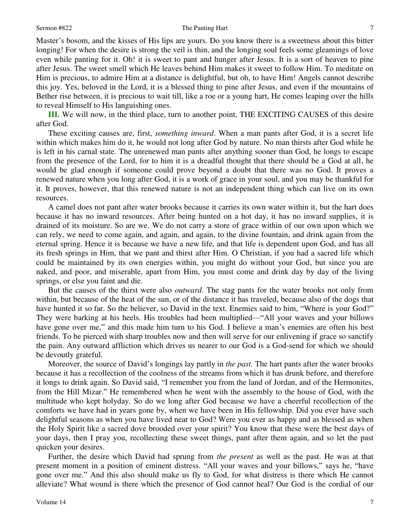### Sermon #822 The Panting Hart

7

Master's bosom, and the kisses of His lips are yours. Do you know there is a sweetness about this bitter longing! For when the desire is strong the veil is thin, and the longing soul feels some gleamings of love even while panting for it. Oh! it is sweet to pant and hunger after Jesus. It is a sort of heaven to pine after Jesus. The sweet smell which He leaves behind Him makes it sweet to follow Him. To meditate on Him is precious, to admire Him at a distance is delightful, but oh, to have Him! Angels cannot describe this joy. Yes, beloved in the Lord, it is a blessed thing to pine after Jesus, and even if the mountains of Bether rise between, it is precious to wait till, like a roe or a young hart, He comes leaping over the hills to reveal Himself to His languishing ones.

**III.** We will now, in the third place, turn to another point, THE EXCITING CAUSES of this desire after God.

 These exciting causes are, first, *something inward*. When a man pants after God, it is a secret life within which makes him do it, he would not long after God by nature. No man thirsts after God while he is left in his carnal state. The unrenewed man pants after anything sooner than God, he longs to escape from the presence of the Lord, for to him it is a dreadful thought that there should be a God at all, he would be glad enough if someone could prove beyond a doubt that there was no God. It proves a renewed nature when you long after God, it is a work of grace in your soul, and you may be thankful for it. It proves, however, that this renewed nature is not an independent thing which can live on its own resources.

 A camel does not pant after water brooks because it carries its own water within it, but the hart does because it has no inward resources. After being hunted on a hot day, it has no inward supplies, it is drained of its moisture. So are we. We do not carry a store of grace within of our own upon which we can rely, we need to come again, and again, and again, to the divine fountain, and drink again from the eternal spring. Hence it is because we have a new life, and that life is dependent upon God, and has all its fresh springs in Him, that we pant and thirst after Him. O Christian, if you had a sacred life which could be maintained by its own energies within, you might do without your God, but since you are naked, and poor, and miserable, apart from Him, you must come and drink day by day of the living springs, or else you faint and die.

 But the causes of the thirst were also *outward*. The stag pants for the water brooks not only from within, but because of the heat of the sun, or of the distance it has traveled, because also of the dogs that have hunted it so far. So the believer, so David in the text. Enemies said to him, "Where is your God?" They were barking at his heels. His troubles had been multiplied—"All your waves and your billows have gone over me," and this made him turn to his God. I believe a man's enemies are often his best friends. To be pierced with sharp troubles now and then will serve for our enlivening if grace so sanctify the pain. Any outward affliction which drives us nearer to our God is a God-send for which we should be devoutly grateful.

 Moreover, the source of David's longings lay partly in *the past.* The hart pants after the water brooks because it has a recollection of the coolness of the streams from which it has drunk before, and therefore it longs to drink again. So David said, "I remember you from the land of Jordan, and of the Hermonites, from the Hill Mizar." He remembered when he went with the assembly to the house of God, with the multitude who kept holyday. So do we long after God because we have a cheerful recollection of the comforts we have had in years gone by, when we have been in His fellowship. Did you ever have such delightful seasons as when you have lived near to God? Were you ever as happy and as blessed as when the Holy Spirit like a sacred dove brooded over your spirit? You know that these were the best days of your days, then I pray you, recollecting these sweet things, pant after them again, and so let the past quicken your desires.

 Further, the desire which David had sprung from *the present* as well as the past. He was at that present moment in a position of eminent distress. "All your waves and your billows," says he, "have gone over me." And this also should make us fly to God, for what distress is there which He cannot alleviate? What wound is there which the presence of God cannot heal? Our God is the cordial of our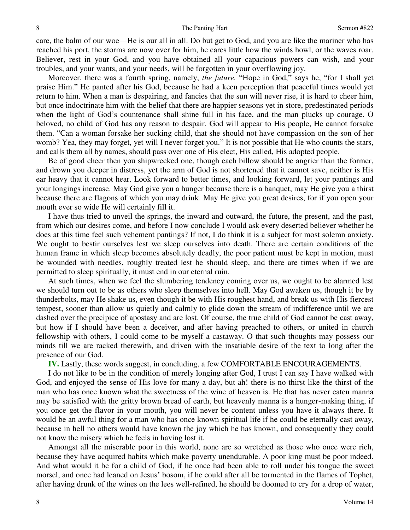care, the balm of our woe—He is our all in all. Do but get to God, and you are like the mariner who has reached his port, the storms are now over for him, he cares little how the winds howl, or the waves roar. Believer, rest in your God, and you have obtained all your capacious powers can wish, and your troubles, and your wants, and your needs, will be forgotten in your overflowing joy.

 Moreover, there was a fourth spring, namely, *the future.* "Hope in God," says he, "for I shall yet praise Him." He panted after his God, because he had a keen perception that peaceful times would yet return to him. When a man is despairing, and fancies that the sun will never rise, it is hard to cheer him, but once indoctrinate him with the belief that there are happier seasons yet in store, predestinated periods when the light of God's countenance shall shine full in his face, and the man plucks up courage. O beloved, no child of God has any reason to despair. God will appear to His people, He cannot forsake them. "Can a woman forsake her sucking child, that she should not have compassion on the son of her womb? Yea, they may forget, yet will I never forget you." It is not possible that He who counts the stars, and calls them all by names, should pass over one of His elect, His called, His adopted people.

 Be of good cheer then you shipwrecked one, though each billow should be angrier than the former, and drown you deeper in distress, yet the arm of God is not shortened that it cannot save, neither is His ear heavy that it cannot hear. Look forward to better times, and looking forward, let your pantings and your longings increase. May God give you a hunger because there is a banquet, may He give you a thirst because there are flagons of which you may drink. May He give you great desires, for if you open your mouth ever so wide He will certainly fill it.

 I have thus tried to unveil the springs, the inward and outward, the future, the present, and the past, from which our desires come, and before I now conclude I would ask every deserted believer whether he does at this time feel such vehement pantings? If not, I do think it is a subject for most solemn anxiety. We ought to bestir ourselves lest we sleep ourselves into death. There are certain conditions of the human frame in which sleep becomes absolutely deadly, the poor patient must be kept in motion, must be wounded with needles, roughly treated lest he should sleep, and there are times when if we are permitted to sleep spiritually, it must end in our eternal ruin.

 At such times, when we feel the slumbering tendency coming over us, we ought to be alarmed lest we should turn out to be as others who sleep themselves into hell. May God awaken us, though it be by thunderbolts, may He shake us, even though it be with His roughest hand, and break us with His fiercest tempest, sooner than allow us quietly and calmly to glide down the stream of indifference until we are dashed over the precipice of apostasy and are lost. Of course, the true child of God cannot be cast away, but how if I should have been a deceiver, and after having preached to others, or united in church fellowship with others, I could come to be myself a castaway. O that such thoughts may possess our minds till we are racked therewith, and driven with the insatiable desire of the text to long after the presence of our God.

**IV.** Lastly, these words suggest, in concluding, a few COMFORTABLE ENCOURAGEMENTS.

 I do not like to be in the condition of merely longing after God, I trust I can say I have walked with God, and enjoyed the sense of His love for many a day, but ah! there is no thirst like the thirst of the man who has once known what the sweetness of the wine of heaven is. He that has never eaten manna may be satisfied with the gritty brown bread of earth, but heavenly manna is a hunger-making thing, if you once get the flavor in your mouth, you will never be content unless you have it always there. It would be an awful thing for a man who has once known spiritual life if he could be eternally cast away, because in hell no others would have known the joy which he has known, and consequently they could not know the misery which he feels in having lost it.

 Amongst all the miserable poor in this world, none are so wretched as those who once were rich, because they have acquired habits which make poverty unendurable. A poor king must be poor indeed. And what would it be for a child of God, if he once had been able to roll under his tongue the sweet morsel, and once had leaned on Jesus' bosom, if he could after all be tormented in the flames of Tophet, after having drunk of the wines on the lees well-refined, he should be doomed to cry for a drop of water,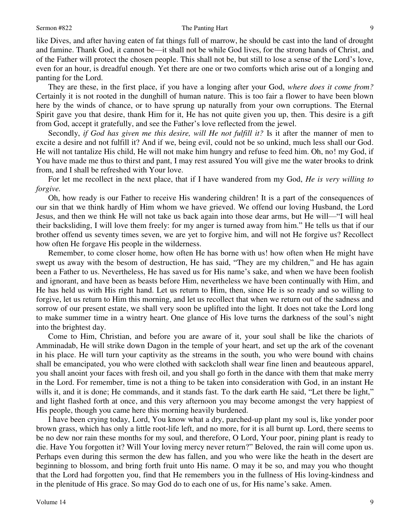### Sermon #822 The Panting Hart

like Dives, and after having eaten of fat things full of marrow, he should be cast into the land of drought and famine. Thank God, it cannot be—it shall not be while God lives, for the strong hands of Christ, and of the Father will protect the chosen people. This shall not be, but still to lose a sense of the Lord's love, even for an hour, is dreadful enough. Yet there are one or two comforts which arise out of a longing and panting for the Lord.

 They are these, in the first place, if you have a longing after your God, *where does it come from?* Certainly it is not rooted in the dunghill of human nature. This is too fair a flower to have been blown here by the winds of chance, or to have sprung up naturally from your own corruptions. The Eternal Spirit gave you that desire, thank Him for it, He has not quite given you up, then. This desire is a gift from God, accept it gratefully, and see the Father's love reflected from the jewel.

Secondly, *if God has given me this desire, will He not fulfill it?* Is it after the manner of men to excite a desire and not fulfill it? And if we, being evil, could not be so unkind, much less shall our God. He will not tantalize His child, He will not make him hungry and refuse to feed him. Oh, no! my God, if You have made me thus to thirst and pant, I may rest assured You will give me the water brooks to drink from, and I shall be refreshed with Your love.

 For let me recollect in the next place, that if I have wandered from my God, *He is very willing to forgive.* 

Oh, how ready is our Father to receive His wandering children! It is a part of the consequences of our sin that we think hardly of Him whom we have grieved. We offend our loving Husband, the Lord Jesus, and then we think He will not take us back again into those dear arms, but He will—"I will heal their backsliding, I will love them freely: for my anger is turned away from him." He tells us that if our brother offend us seventy times seven, we are yet to forgive him, and will not He forgive us? Recollect how often He forgave His people in the wilderness.

 Remember, to come closer home, how often He has borne with us! how often when He might have swept us away with the besom of destruction, He has said, "They are my children," and He has again been a Father to us. Nevertheless, He has saved us for His name's sake, and when we have been foolish and ignorant, and have been as beasts before Him, nevertheless we have been continually with Him, and He has held us with His right hand. Let us return to Him, then, since He is so ready and so willing to forgive, let us return to Him this morning, and let us recollect that when we return out of the sadness and sorrow of our present estate, we shall very soon be uplifted into the light. It does not take the Lord long to make summer time in a wintry heart. One glance of His love turns the darkness of the soul's night into the brightest day.

 Come to Him, Christian, and before you are aware of it, your soul shall be like the chariots of Amminadab, He will strike down Dagon in the temple of your heart, and set up the ark of the covenant in his place. He will turn your captivity as the streams in the south, you who were bound with chains shall be emancipated, you who were clothed with sackcloth shall wear fine linen and beauteous apparel, you shall anoint your faces with fresh oil, and you shall go forth in the dance with them that make merry in the Lord. For remember, time is not a thing to be taken into consideration with God, in an instant He wills it, and it is done; He commands, and it stands fast. To the dark earth He said, "Let there be light," and light flashed forth at once, and this very afternoon you may become amongst the very happiest of His people, though you came here this morning heavily burdened.

 I have been crying today, Lord, You know what a dry, parched-up plant my soul is, like yonder poor brown grass, which has only a little root-life left, and no more, for it is all burnt up. Lord, there seems to be no dew nor rain these months for my soul, and therefore, O Lord, Your poor, pining plant is ready to die. Have You forgotten it? Will Your loving mercy never return?" Beloved, the rain will come upon us. Perhaps even during this sermon the dew has fallen, and you who were like the heath in the desert are beginning to blossom, and bring forth fruit unto His name. O may it be so, and may you who thought that the Lord had forgotten you, find that He remembers you in the fullness of His loving-kindness and in the plenitude of His grace. So may God do to each one of us, for His name's sake. Amen.